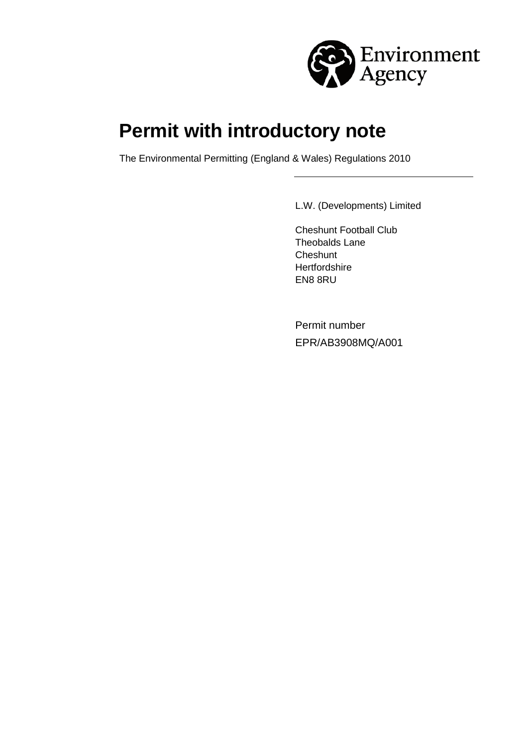

# **Permit with introductory note**

The Environmental Permitting (England & Wales) Regulations 2010

L.W. (Developments) Limited

Cheshunt Football Club Theobalds Lane **Cheshunt Hertfordshire** EN8 8RU

Permit number EPR/AB3908MQ/A001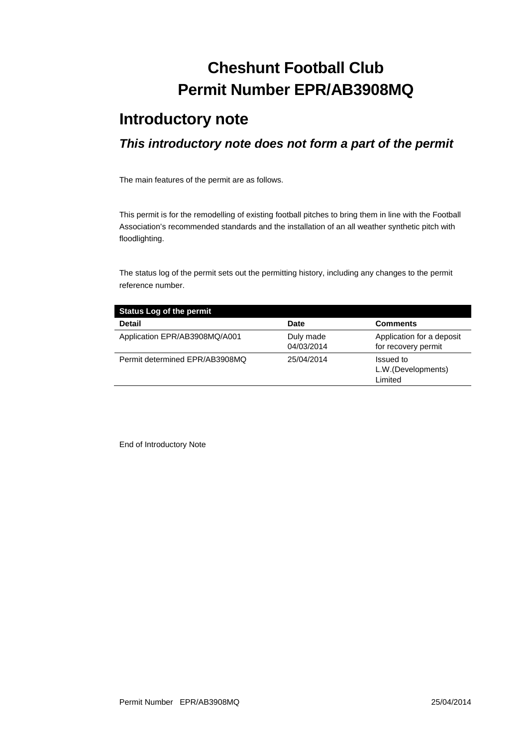# **Cheshunt Football Club Permit Number EPR/AB3908MQ**

### **Introductory note**

### *This introductory note does not form a part of the permit*

The main features of the permit are as follows.

This permit is for the remodelling of existing football pitches to bring them in line with the Football Association's recommended standards and the installation of an all weather synthetic pitch with floodlighting.

The status log of the permit sets out the permitting history, including any changes to the permit reference number.

| <b>Status Log of the permit</b> |                         |                                                  |
|---------------------------------|-------------------------|--------------------------------------------------|
| <b>Detail</b>                   | <b>Date</b>             | <b>Comments</b>                                  |
| Application EPR/AB3908MQ/A001   | Duly made<br>04/03/2014 | Application for a deposit<br>for recovery permit |
| Permit determined EPR/AB3908MQ  | 25/04/2014              | Issued to<br>L.W.(Developments)<br>Limited       |

End of Introductory Note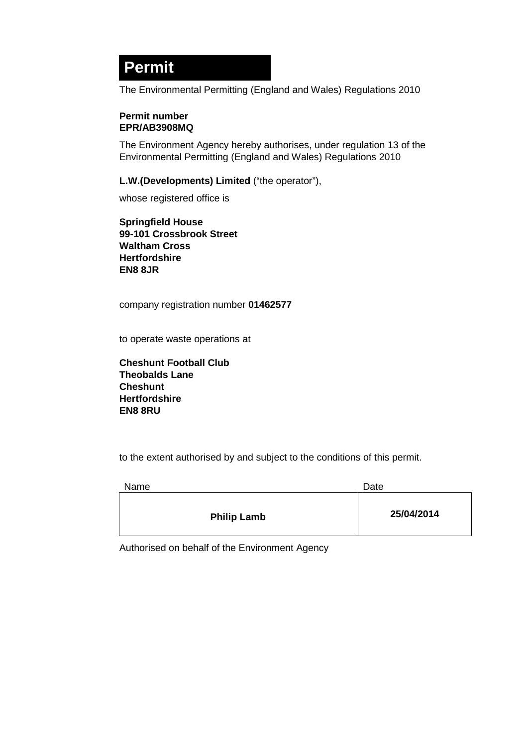## **Permit**

The Environmental Permitting (England and Wales) Regulations 2010

#### **Permit number EPR/AB3908MQ**

The Environment Agency hereby authorises, under regulation 13 of the Environmental Permitting (England and Wales) Regulations 2010

**L.W.(Developments) Limited** ("the operator"),

whose registered office is

**Springfield House 99-101 Crossbrook Street Waltham Cross Hertfordshire EN8 8JR**

company registration number **01462577**

to operate waste operations at

**Cheshunt Football Club Theobalds Lane Cheshunt Hertfordshire EN8 8RU** 

to the extent authorised by and subject to the conditions of this permit.

| Name               | Date       |
|--------------------|------------|
| <b>Philip Lamb</b> | 25/04/2014 |

Authorised on behalf of the Environment Agency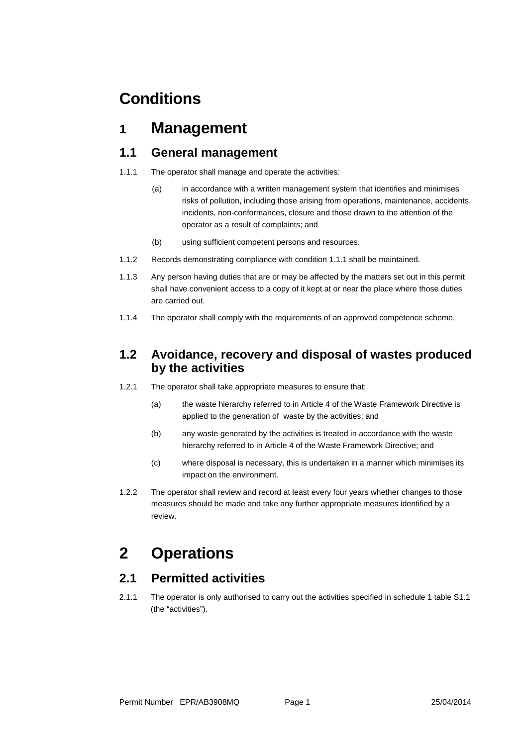## **Conditions**

### **1 Management**

#### **1.1 General management**

- 1.1.1 The operator shall manage and operate the activities:
	- (a) in accordance with a written management system that identifies and minimises risks of pollution, including those arising from operations, maintenance, accidents, incidents, non-conformances, closure and those drawn to the attention of the operator as a result of complaints; and
	- (b) using sufficient competent persons and resources.
- 1.1.2 Records demonstrating compliance with condition 1.1.1 shall be maintained.
- 1.1.3 Any person having duties that are or may be affected by the matters set out in this permit shall have convenient access to a copy of it kept at or near the place where those duties are carried out.
- 1.1.4 The operator shall comply with the requirements of an approved competence scheme.

#### **1.2 Avoidance, recovery and disposal of wastes produced by the activities**

- 1.2.1 The operator shall take appropriate measures to ensure that:
	- (a) the waste hierarchy referred to in Article 4 of the Waste Framework Directive is applied to the generation of waste by the activities; and
	- (b) any waste generated by the activities is treated in accordance with the waste hierarchy referred to in Article 4 of the Waste Framework Directive; and
	- (c) where disposal is necessary, this is undertaken in a manner which minimises its impact on the environment.
- 1.2.2 The operator shall review and record at least every four years whether changes to those measures should be made and take any further appropriate measures identified by a review.

### **2 Operations**

### **2.1 Permitted activities**

2.1.1 The operator is only authorised to carry out the activities specified in schedule 1 table S1.1 (the "activities").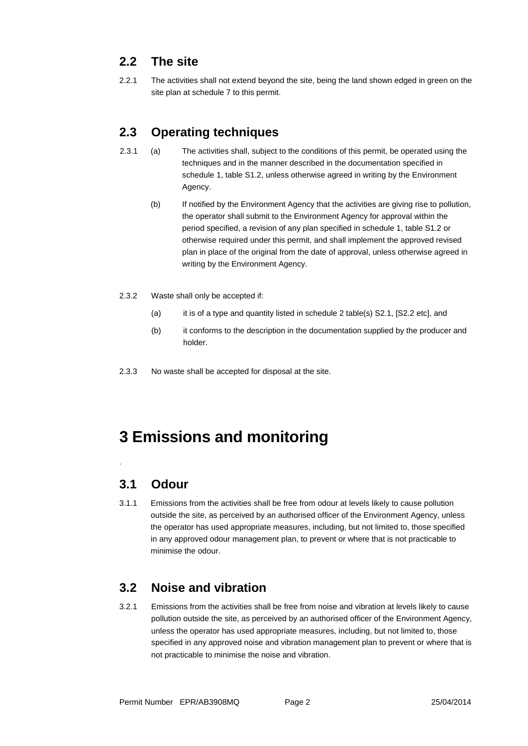### **2.2 The site**

2.2.1 The activities shall not extend beyond the site, being the land shown edged in green on the site plan at schedule 7 to this permit.

### **2.3 Operating techniques**

- 2.3.1 (a) The activities shall, subject to the conditions of this permit, be operated using the techniques and in the manner described in the documentation specified in schedule 1, table S1.2, unless otherwise agreed in writing by the Environment Agency.
	- (b) If notified by the Environment Agency that the activities are giving rise to pollution, the operator shall submit to the Environment Agency for approval within the period specified, a revision of any plan specified in schedule 1, table S1.2 or otherwise required under this permit, and shall implement the approved revised plan in place of the original from the date of approval, unless otherwise agreed in writing by the Environment Agency.
- 2.3.2 Waste shall only be accepted if:
	- (a) it is of a type and quantity listed in schedule 2 table(s) S2.1, [S2.2 etc], and
	- (b) it conforms to the description in the documentation supplied by the producer and holder.
- 2.3.3 No waste shall be accepted for disposal at the site.

## **3 Emissions and monitoring**

### **3.1 Odour**

.

3.1.1 Emissions from the activities shall be free from odour at levels likely to cause pollution outside the site, as perceived by an authorised officer of the Environment Agency, unless the operator has used appropriate measures, including, but not limited to, those specified in any approved odour management plan, to prevent or where that is not practicable to minimise the odour.

### **3.2 Noise and vibration**

3.2.1 Emissions from the activities shall be free from noise and vibration at levels likely to cause pollution outside the site, as perceived by an authorised officer of the Environment Agency, unless the operator has used appropriate measures, including, but not limited to, those specified in any approved noise and vibration management plan to prevent or where that is not practicable to minimise the noise and vibration.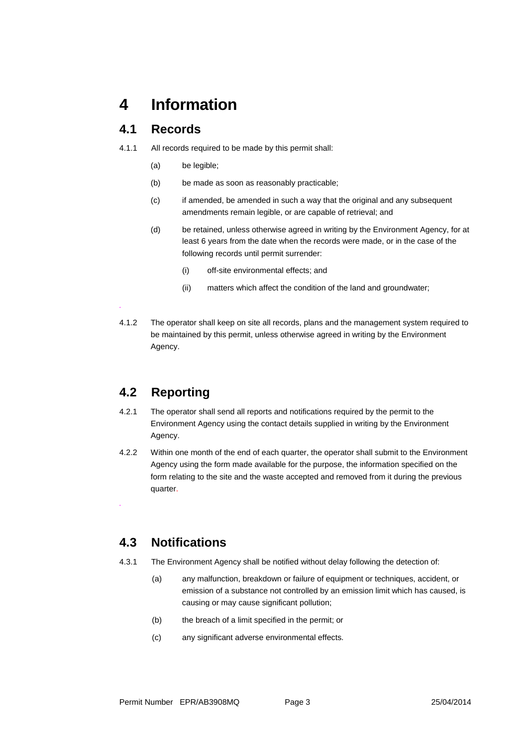### **4 Information**

#### **4.1 Records**

- 4.1.1 All records required to be made by this permit shall:
	- (a) be legible;
	- (b) be made as soon as reasonably practicable;
	- (c) if amended, be amended in such a way that the original and any subsequent amendments remain legible, or are capable of retrieval; and
	- (d) be retained, unless otherwise agreed in writing by the Environment Agency, for at least 6 years from the date when the records were made, or in the case of the following records until permit surrender:
		- (i) off-site environmental effects; and
		- (ii) matters which affect the condition of the land and groundwater;
- 4.1.2 The operator shall keep on site all records, plans and the management system required to be maintained by this permit, unless otherwise agreed in writing by the Environment Agency.

### **4.2 Reporting**

*.*

*.*

- 4.2.1 The operator shall send all reports and notifications required by the permit to the Environment Agency using the contact details supplied in writing by the Environment Agency.
- 4.2.2 Within one month of the end of each quarter, the operator shall submit to the Environment Agency using the form made available for the purpose, the information specified on the form relating to the site and the waste accepted and removed from it during the previous quarter.

### **4.3 Notifications**

- 4.3.1 The Environment Agency shall be notified without delay following the detection of:
	- (a) any malfunction, breakdown or failure of equipment or techniques, accident, or emission of a substance not controlled by an emission limit which has caused, is causing or may cause significant pollution;
	- (b) the breach of a limit specified in the permit; or
	- (c) any significant adverse environmental effects.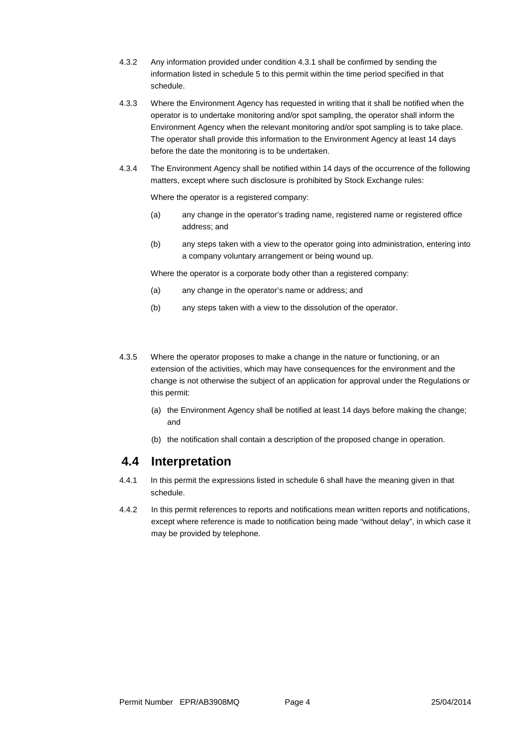- 4.3.2 Any information provided under condition 4.3.1 shall be confirmed by sending the information listed in schedule 5 to this permit within the time period specified in that schedule.
- 4.3.3 Where the Environment Agency has requested in writing that it shall be notified when the operator is to undertake monitoring and/or spot sampling, the operator shall inform the Environment Agency when the relevant monitoring and/or spot sampling is to take place. The operator shall provide this information to the Environment Agency at least 14 days before the date the monitoring is to be undertaken.
- 4.3.4 The Environment Agency shall be notified within 14 days of the occurrence of the following matters, except where such disclosure is prohibited by Stock Exchange rules:

Where the operator is a registered company:

- (a) any change in the operator's trading name, registered name or registered office address; and
- (b) any steps taken with a view to the operator going into administration, entering into a company voluntary arrangement or being wound up.

Where the operator is a corporate body other than a registered company:

- (a) any change in the operator's name or address; and
- (b) any steps taken with a view to the dissolution of the operator.
- 4.3.5 Where the operator proposes to make a change in the nature or functioning, or an extension of the activities, which may have consequences for the environment and the change is not otherwise the subject of an application for approval under the Regulations or this permit:
	- (a) the Environment Agency shall be notified at least 14 days before making the change; and
	- (b) the notification shall contain a description of the proposed change in operation.

#### **4.4 Interpretation**

- 4.4.1 In this permit the expressions listed in schedule 6 shall have the meaning given in that schedule.
- 4.4.2 In this permit references to reports and notifications mean written reports and notifications, except where reference is made to notification being made "without delay", in which case it may be provided by telephone.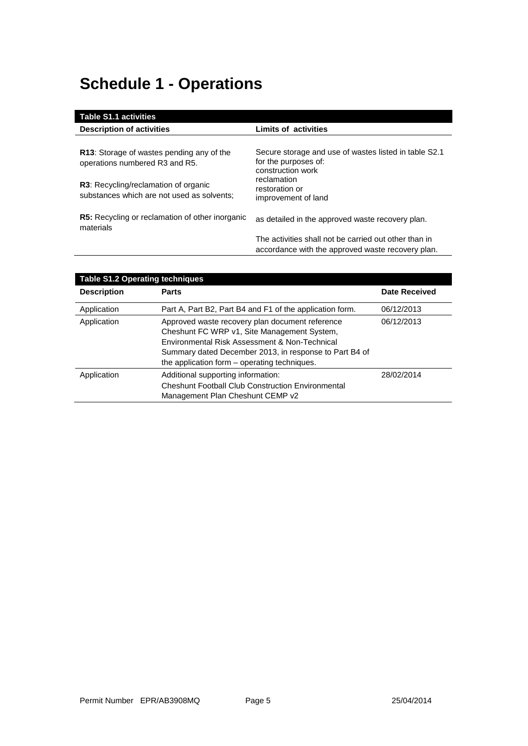# **Schedule 1 - Operations**

| <b>Table S1.1 activities</b>                                                       |                                                                                                            |
|------------------------------------------------------------------------------------|------------------------------------------------------------------------------------------------------------|
| <b>Description of activities</b>                                                   | Limits of activities                                                                                       |
|                                                                                    |                                                                                                            |
| <b>R13:</b> Storage of wastes pending any of the<br>operations numbered R3 and R5. | Secure storage and use of wastes listed in table S2.1<br>for the purposes of:<br>construction work         |
| R3: Recycling/reclamation of organic<br>substances which are not used as solvents; | reclamation<br>restoration or<br>improvement of land                                                       |
| <b>R5:</b> Recycling or reclamation of other inorganic<br>materials                | as detailed in the approved waste recovery plan.                                                           |
|                                                                                    | The activities shall not be carried out other than in<br>accordance with the approved waste recovery plan. |

| <b>Table S1.2 Operating techniques</b> |                                                                                                                                                                                                                                                           |                      |
|----------------------------------------|-----------------------------------------------------------------------------------------------------------------------------------------------------------------------------------------------------------------------------------------------------------|----------------------|
| <b>Description</b>                     | <b>Parts</b>                                                                                                                                                                                                                                              | <b>Date Received</b> |
| Application                            | Part A, Part B2, Part B4 and F1 of the application form.                                                                                                                                                                                                  | 06/12/2013           |
| Application                            | Approved waste recovery plan document reference<br>Cheshunt FC WRP v1, Site Management System,<br>Environmental Risk Assessment & Non-Technical<br>Summary dated December 2013, in response to Part B4 of<br>the application form – operating techniques. | 06/12/2013           |
| Application                            | Additional supporting information:<br><b>Cheshunt Football Club Construction Environmental</b><br>Management Plan Cheshunt CEMP v2                                                                                                                        | 28/02/2014           |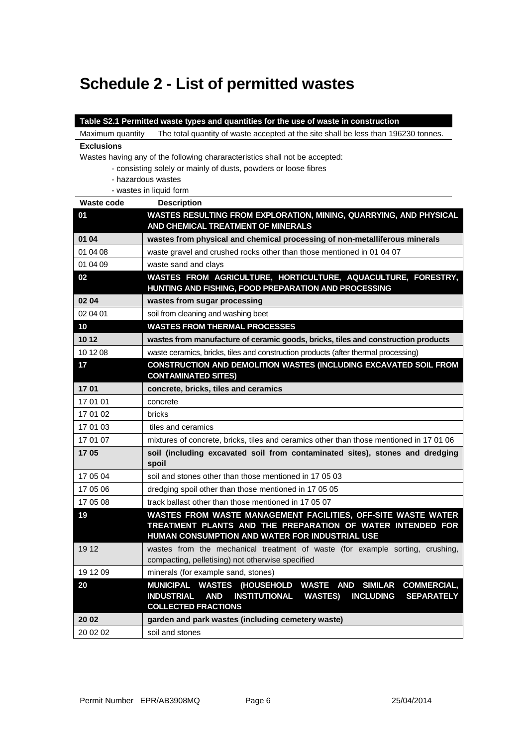# **Schedule 2 - List of permitted wastes**

|                   | Table S2.1 Permitted waste types and quantities for the use of waste in construction                                                                                                                                                                  |
|-------------------|-------------------------------------------------------------------------------------------------------------------------------------------------------------------------------------------------------------------------------------------------------|
| Maximum quantity  | The total quantity of waste accepted at the site shall be less than 196230 tonnes.                                                                                                                                                                    |
| <b>Exclusions</b> |                                                                                                                                                                                                                                                       |
|                   | Wastes having any of the following chararacteristics shall not be accepted:                                                                                                                                                                           |
|                   | - consisting solely or mainly of dusts, powders or loose fibres                                                                                                                                                                                       |
|                   | - hazardous wastes                                                                                                                                                                                                                                    |
| Waste code        | - wastes in liquid form                                                                                                                                                                                                                               |
| 01                | <b>Description</b><br>WASTES RESULTING FROM EXPLORATION, MINING, QUARRYING, AND PHYSICAL                                                                                                                                                              |
|                   | AND CHEMICAL TREATMENT OF MINERALS                                                                                                                                                                                                                    |
| 01 04             | wastes from physical and chemical processing of non-metalliferous minerals                                                                                                                                                                            |
| 01 04 08          | waste gravel and crushed rocks other than those mentioned in 01 04 07                                                                                                                                                                                 |
| 01 04 09          | waste sand and clays                                                                                                                                                                                                                                  |
| 02                | WASTES FROM AGRICULTURE, HORTICULTURE, AQUACULTURE, FORESTRY,<br>HUNTING AND FISHING, FOOD PREPARATION AND PROCESSING                                                                                                                                 |
| 02 04             | wastes from sugar processing                                                                                                                                                                                                                          |
| 02 04 01          | soil from cleaning and washing beet                                                                                                                                                                                                                   |
| 10                | <b>WASTES FROM THERMAL PROCESSES</b>                                                                                                                                                                                                                  |
| 1012              | wastes from manufacture of ceramic goods, bricks, tiles and construction products                                                                                                                                                                     |
| 10 12 08          | waste ceramics, bricks, tiles and construction products (after thermal processing)                                                                                                                                                                    |
| 17                | CONSTRUCTION AND DEMOLITION WASTES (INCLUDING EXCAVATED SOIL FROM<br><b>CONTAMINATED SITES)</b>                                                                                                                                                       |
| 1701              | concrete, bricks, tiles and ceramics                                                                                                                                                                                                                  |
| 17 01 01          | concrete                                                                                                                                                                                                                                              |
| 17 01 02          | bricks                                                                                                                                                                                                                                                |
| 17 01 03          | tiles and ceramics                                                                                                                                                                                                                                    |
| 17 01 07          | mixtures of concrete, bricks, tiles and ceramics other than those mentioned in 17 01 06                                                                                                                                                               |
| 1705              | soil (including excavated soil from contaminated sites), stones and dredging<br>spoil                                                                                                                                                                 |
| 17 05 04          | soil and stones other than those mentioned in 17 05 03                                                                                                                                                                                                |
| 17 05 06          | dredging spoil other than those mentioned in 17 05 05                                                                                                                                                                                                 |
| 17 05 08          | track ballast other than those mentioned in 17 05 07                                                                                                                                                                                                  |
| 19                | WASTES FROM WASTE MANAGEMENT FACILITIES, OFF-SITE WASTE WATER<br>TREATMENT PLANTS AND THE PREPARATION OF WATER INTENDED FOR<br>HUMAN CONSUMPTION AND WATER FOR INDUSTRIAL USE                                                                         |
| 19 12             | wastes from the mechanical treatment of waste (for example sorting, crushing,<br>compacting, pelletising) not otherwise specified                                                                                                                     |
| 19 12 09          | minerals (for example sand, stones)                                                                                                                                                                                                                   |
| 20                | MUNICIPAL WASTES (HOUSEHOLD<br><b>WASTE</b><br><b>SIMILAR</b><br><b>COMMERCIAL,</b><br><b>AND</b><br><b>AND</b><br><b>INSTITUTIONAL</b><br><b>INDUSTRIAL</b><br><b>WASTES)</b><br><b>INCLUDING</b><br><b>SEPARATELY</b><br><b>COLLECTED FRACTIONS</b> |
| 20 02             | garden and park wastes (including cemetery waste)                                                                                                                                                                                                     |
| 20 02 02          | soil and stones                                                                                                                                                                                                                                       |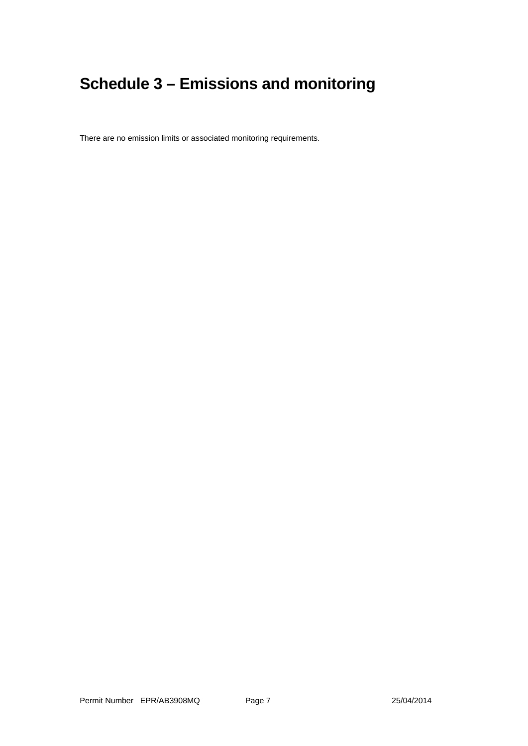# **Schedule 3 – Emissions and monitoring**

There are no emission limits or associated monitoring requirements.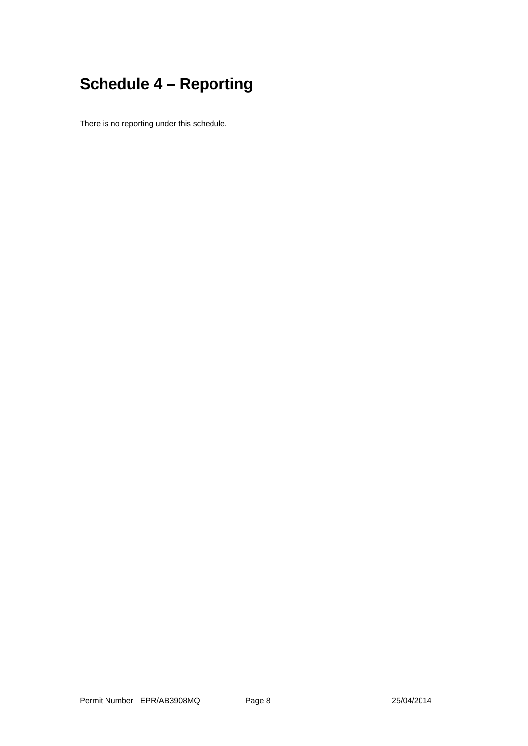# **Schedule 4 – Reporting**

There is no reporting under this schedule.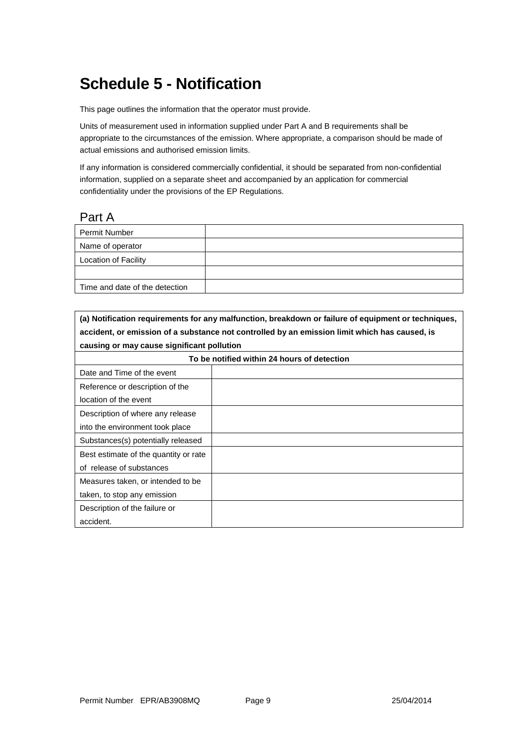## **Schedule 5 - Notification**

This page outlines the information that the operator must provide.

Units of measurement used in information supplied under Part A and B requirements shall be appropriate to the circumstances of the emission. Where appropriate, a comparison should be made of actual emissions and authorised emission limits.

If any information is considered commercially confidential, it should be separated from non-confidential information, supplied on a separate sheet and accompanied by an application for commercial confidentiality under the provisions of the EP Regulations.

#### Part A

| <b>Permit Number</b>           |  |
|--------------------------------|--|
| Name of operator               |  |
| Location of Facility           |  |
|                                |  |
| Time and date of the detection |  |

**(a) Notification requirements for any malfunction, breakdown or failure of equipment or techniques, accident, or emission of a substance not controlled by an emission limit which has caused, is causing or may cause significant pollution**

| To be notified within 24 hours of detection |  |
|---------------------------------------------|--|
| Date and Time of the event                  |  |
| Reference or description of the             |  |
| location of the event                       |  |
| Description of where any release            |  |
| into the environment took place             |  |
| Substances(s) potentially released          |  |
| Best estimate of the quantity or rate       |  |
| of release of substances                    |  |
| Measures taken, or intended to be           |  |
| taken, to stop any emission                 |  |
| Description of the failure or               |  |
| accident.                                   |  |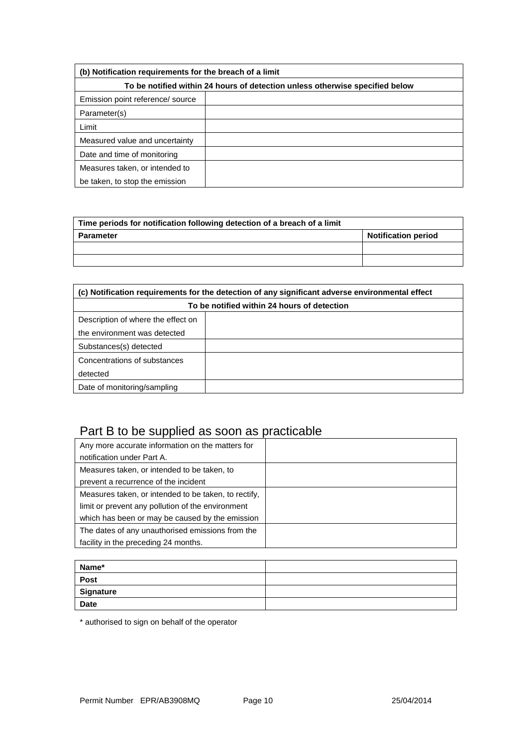| (b) Notification requirements for the breach of a limit                      |  |  |
|------------------------------------------------------------------------------|--|--|
| To be notified within 24 hours of detection unless otherwise specified below |  |  |
| Emission point reference/ source                                             |  |  |
| Parameter(s)                                                                 |  |  |
| Limit                                                                        |  |  |
| Measured value and uncertainty                                               |  |  |
| Date and time of monitoring                                                  |  |  |
| Measures taken, or intended to                                               |  |  |
| be taken, to stop the emission                                               |  |  |

| Time periods for notification following detection of a breach of a limit |                            |
|--------------------------------------------------------------------------|----------------------------|
| Parameter                                                                | <b>Notification period</b> |
|                                                                          |                            |
|                                                                          |                            |

| (c) Notification requirements for the detection of any significant adverse environmental effect |  |  |
|-------------------------------------------------------------------------------------------------|--|--|
| To be notified within 24 hours of detection                                                     |  |  |
| Description of where the effect on                                                              |  |  |
| the environment was detected                                                                    |  |  |
| Substances(s) detected                                                                          |  |  |
| Concentrations of substances                                                                    |  |  |
| detected                                                                                        |  |  |
| Date of monitoring/sampling                                                                     |  |  |

### Part B to be supplied as soon as practicable

| Any more accurate information on the matters for     |  |
|------------------------------------------------------|--|
| notification under Part A.                           |  |
| Measures taken, or intended to be taken, to          |  |
| prevent a recurrence of the incident                 |  |
| Measures taken, or intended to be taken, to rectify, |  |
| limit or prevent any pollution of the environment    |  |
| which has been or may be caused by the emission      |  |
| The dates of any unauthorised emissions from the     |  |
| facility in the preceding 24 months.                 |  |

| Name*       |  |
|-------------|--|
| Post        |  |
| Signature   |  |
| <b>Date</b> |  |

\* authorised to sign on behalf of the operator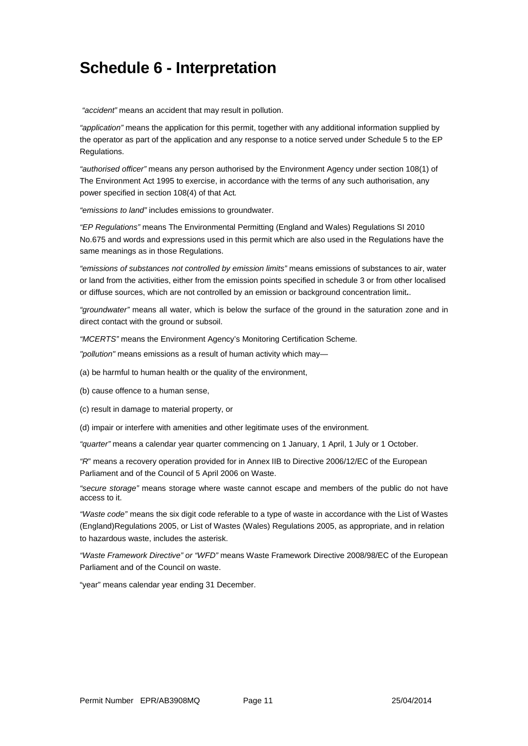### **Schedule 6 - Interpretation**

*"accident"* means an accident that may result in pollution.

*"application"* means the application for this permit, together with any additional information supplied by the operator as part of the application and any response to a notice served under Schedule 5 to the EP Regulations.

*"authorised officer"* means any person authorised by the Environment Agency under section 108(1) of The Environment Act 1995 to exercise, in accordance with the terms of any such authorisation, any power specified in section 108(4) of that Act*.*

*"emissions to land"* includes emissions to groundwater.

*"EP Regulations"* means The Environmental Permitting (England and Wales) Regulations SI 2010 No.675 and words and expressions used in this permit which are also used in the Regulations have the same meanings as in those Regulations.

*"emissions of substances not controlled by emission limits"* means emissions of substances to air, water or land from the activities, either from the emission points specified in schedule 3 or from other localised or diffuse sources, which are not controlled by an emission or background concentration limit**.**.

*"groundwater"* means all water, which is below the surface of the ground in the saturation zone and in direct contact with the ground or subsoil.

*"MCERTS"* means the Environment Agency's Monitoring Certification Scheme*.*

*"pollution"* means emissions as a result of human activity which may—

(a) be harmful to human health or the quality of the environment,

(b) cause offence to a human sense,

(c) result in damage to material property, or

(d) impair or interfere with amenities and other legitimate uses of the environment.

*"quarter"* means a calendar year quarter commencing on 1 January, 1 April, 1 July or 1 October.

*"R*" means a recovery operation provided for in Annex IIB to Directive 2006/12/EC of the European Parliament and of the Council of 5 April 2006 on Waste.

*"secure storage"* means storage where waste cannot escape and members of the public do not have access to it.

*"Waste code"* means the six digit code referable to a type of waste in accordance with the List of Wastes (England)Regulations 2005, or List of Wastes (Wales) Regulations 2005, as appropriate, and in relation to hazardous waste, includes the asterisk.

*"Waste Framework Directive" or "WFD"* means Waste Framework Directive 2008/98/EC of the European Parliament and of the Council on waste.

"year" means calendar year ending 31 December.